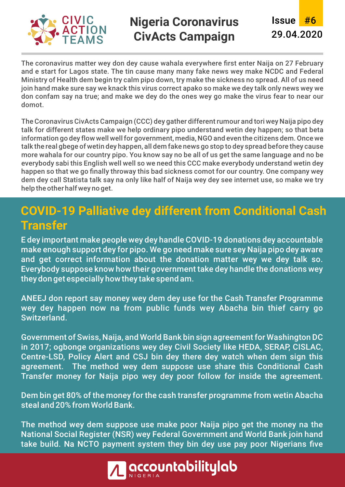

#### **Nigeria Coronavirus CivActs Campaign**

#6 Issue 29.04.2020

The coronavirus matter wey don dey cause wahala everywhere first enter Naija on 27 February and e start for Lagos state. The tin cause many many fake news wey make NCDC and Federal Ministry of Health dem begin try calm pipo down, try make the sickness no spread. All of us need join hand make sure say we knack this virus correct apako so make we dey talk only news wey we don confam say na true; and make we dey do the ones wey go make the virus fear to near our domot.

The Coronavirus CivActs Campaign (CCC) dey gather different rumour and tori wey Naija pipo dey talk for different states make we help ordinary pipo understand wetin dey happen; so that beta information go dey flow well well for government, media, NGO and even the citizens dem. Once we talk the real gbege of wetin dey happen, all dem fake news go stop to dey spread before they cause more wahala for our country pipo. You know say no be all of us get the same language and no be everybody sabi this English well well so we need this CCC make everybody understand wetin dey happen so that we go finally throway this bad sickness comot for our country. One company wey dem dey call Statista talk say na only like half of Naija wey dey see internet use, so make we try help the other half wey no get.

## **COVID-19 Palliative dey different from Conditional Cash Transfer**

E dey important make people wey dey handle COVID-19 donations dey accountable make enough support dey for pipo. We go need make sure sey Naija pipo dey aware and get correct information about the donation matter wey we dey talk so. Everybody suppose know how their government take dey handle the donations wey they don get especially how they take spend am.

ANEEJ don report say money wey dem dey use for the Cash Transfer Programme wey dey happen now na from public funds wey Abacha bin thief carry go Switzerland.

Government of Swiss, Naija, and World Bank bin sign agreement for Washington DC in 2017; ogbonge organizations wey dey Civil Society like HEDA, SERAP, CISLAC, Centre-LSD, Policy Alert and CSJ bin dey there dey watch when dem sign this agreement. The method wey dem suppose use share this Conditional Cash Transfer money for Naija pipo wey dey poor follow for inside the agreement.

Dem bin get 80% of the money for the cash transfer programme from wetin Abacha steal and 20% from World Bank.

The method wey dem suppose use make poor Naija pipo get the money na the National Social Register (NSR) wey Federal Government and World Bank join hand take build. Na NCTO payment system they bin dey use pay poor Nigerians five

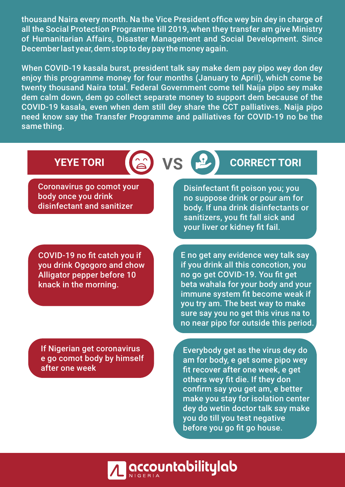thousand Naira every month. Na the Vice President office wey bin dey in charge of all the Social Protection Programme till 2019, when they transfer am give Ministry of Humanitarian Affairs, Disaster Management and Social Development. Since December last year, dem stop to dey pay the money again.

When COVID-19 kasala burst, president talk say make dem pay pipo wey don dey enjoy this programme money for four months (January to April), which come be twenty thousand Naira total. Federal Government come tell Naija pipo sey make dem calm down, dem go collect separate money to support dem because of the COVID-19 kasala, even when dem still dey share the CCT palliatives. Naija pipo need know say the Transfer Programme and palliatives for COVID-19 no be the same thing.

Coronavirus go comot your body once you drink disinfectant and sanitizer

COVID-19 no fit catch you if you drink Ogogoro and chow Alligator pepper before 10 knack in the morning.

If Nigerian get coronavirus e go comot body by himself after one week

# **YEYE TORI (a) VS P CORRECT TORI**

Disinfectant fit poison you; you no suppose drink or pour am for body. If una drink disinfectants or sanitizers, you fit fall sick and your liver or kidney fit fail.

E no get any evidence wey talk say if you drink all this concotion, you no go get COVID-19. You fit get beta wahala for your body and your immune system fit become weak if you try am. The best way to make sure say you no get this virus na to no near pipo for outside this period.

Everybody get as the virus dey do am for body, e get some pipo wey fit recover after one week, e get others wey fit die. If they don confirm say you get am, e better make you stay for isolation center dey do wetin doctor talk say make you do till you test negative before you go fit go house.

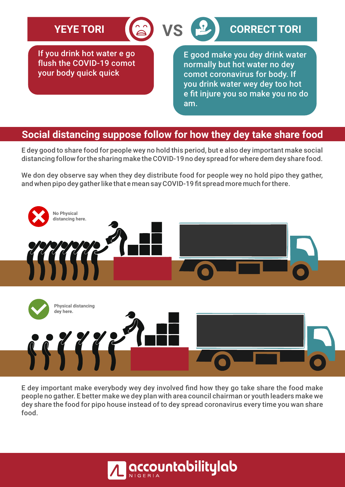## **YEYE TORI** (2) VS **P** cORRECT TORI

If you drink hot water e go flush the COVID-19 comot your body quick quick

E good make you dey drink water normally but hot water no dey comot coronavirus for body. If you drink water wey dey too hot e fit injure you so make you no do am.

#### **Social distancing suppose follow for how they dey take share food**

**VS**

E dey good to share food for people wey no hold this period, but e also dey important make social distancing follow for the sharing make the COVID-19 no dey spread for where dem dey share food.

We don dey observe say when they dey distribute food for people wey no hold pipo they gather, and when pipo dey gather like that e mean say COVID-19 fit spread more much for there.



E dey important make everybody wey dey involved find how they go take share the food make people no gather. E better make we dey plan with area council chairman or youth leaders make we dey share the food for pipo house instead of to dey spread coronavirus every time you wan share food.